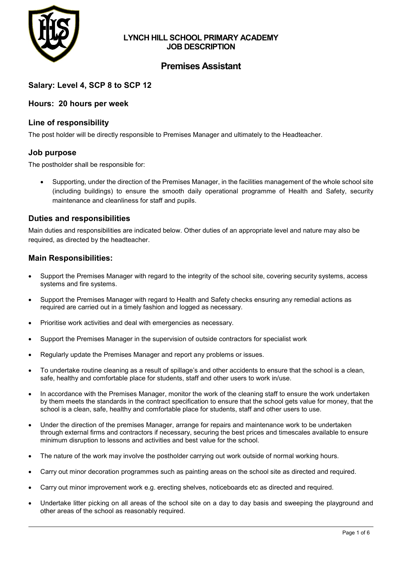

## **LYNCH HILL SCHOOL PRIMARY ACADEMY JOB DESCRIPTION**

# **Premises Assistant**

## **Salary: Level 4, SCP 8 to SCP 12**

### **Hours: 20 hours per week**

### **Line of responsibility**

The post holder will be directly responsible to Premises Manager and ultimately to the Headteacher.

### **Job purpose**

The postholder shall be responsible for:

• Supporting, under the direction of the Premises Manager, in the facilities management of the whole school site (including buildings) to ensure the smooth daily operational programme of Health and Safety, security maintenance and cleanliness for staff and pupils.

### **Duties and responsibilities**

Main duties and responsibilities are indicated below. Other duties of an appropriate level and nature may also be required, as directed by the headteacher.

#### **Main Responsibilities:**

- Support the Premises Manager with regard to the integrity of the school site, covering security systems, access systems and fire systems.
- Support the Premises Manager with regard to Health and Safety checks ensuring any remedial actions as required are carried out in a timely fashion and logged as necessary.
- Prioritise work activities and deal with emergencies as necessary.
- Support the Premises Manager in the supervision of outside contractors for specialist work
- Regularly update the Premises Manager and report any problems or issues.
- To undertake routine cleaning as a result of spillage's and other accidents to ensure that the school is a clean, safe, healthy and comfortable place for students, staff and other users to work in/use.
- In accordance with the Premises Manager, monitor the work of the cleaning staff to ensure the work undertaken by them meets the standards in the contract specification to ensure that the school gets value for money, that the school is a clean, safe, healthy and comfortable place for students, staff and other users to use.
- Under the direction of the premises Manager, arrange for repairs and maintenance work to be undertaken through external firms and contractors if necessary, securing the best prices and timescales available to ensure minimum disruption to lessons and activities and best value for the school.
- The nature of the work may involve the postholder carrying out work outside of normal working hours.
- Carry out minor decoration programmes such as painting areas on the school site as directed and required.
- Carry out minor improvement work e.g. erecting shelves, noticeboards etc as directed and required.
- Undertake litter picking on all areas of the school site on a day to day basis and sweeping the playground and other areas of the school as reasonably required.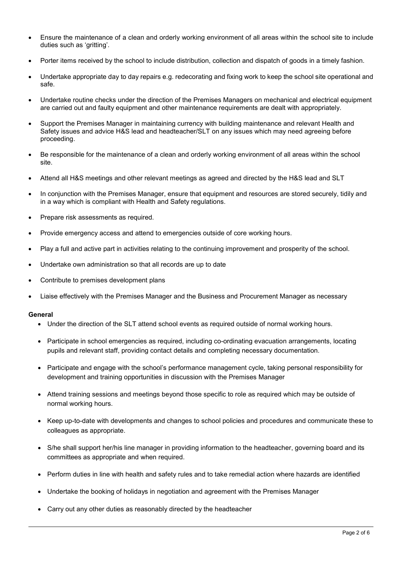- Ensure the maintenance of a clean and orderly working environment of all areas within the school site to include duties such as 'gritting'.
- Porter items received by the school to include distribution, collection and dispatch of goods in a timely fashion.
- Undertake appropriate day to day repairs e.g. redecorating and fixing work to keep the school site operational and safe.
- Undertake routine checks under the direction of the Premises Managers on mechanical and electrical equipment are carried out and faulty equipment and other maintenance requirements are dealt with appropriately.
- Support the Premises Manager in maintaining currency with building maintenance and relevant Health and Safety issues and advice H&S lead and headteacher/SLT on any issues which may need agreeing before proceeding.
- Be responsible for the maintenance of a clean and orderly working environment of all areas within the school site.
- Attend all H&S meetings and other relevant meetings as agreed and directed by the H&S lead and SLT
- In conjunction with the Premises Manager, ensure that equipment and resources are stored securely, tidily and in a way which is compliant with Health and Safety regulations.
- Prepare risk assessments as required.
- Provide emergency access and attend to emergencies outside of core working hours.
- Play a full and active part in activities relating to the continuing improvement and prosperity of the school.
- Undertake own administration so that all records are up to date
- Contribute to premises development plans
- Liaise effectively with the Premises Manager and the Business and Procurement Manager as necessary

#### **General**

- Under the direction of the SLT attend school events as required outside of normal working hours.
- Participate in school emergencies as required, including co-ordinating evacuation arrangements, locating pupils and relevant staff, providing contact details and completing necessary documentation.
- Participate and engage with the school's performance management cycle, taking personal responsibility for development and training opportunities in discussion with the Premises Manager
- Attend training sessions and meetings beyond those specific to role as required which may be outside of normal working hours.
- Keep up-to-date with developments and changes to school policies and procedures and communicate these to colleagues as appropriate.
- S/he shall support her/his line manager in providing information to the headteacher, governing board and its committees as appropriate and when required.
- Perform duties in line with health and safety rules and to take remedial action where hazards are identified
- Undertake the booking of holidays in negotiation and agreement with the Premises Manager
- Carry out any other duties as reasonably directed by the headteacher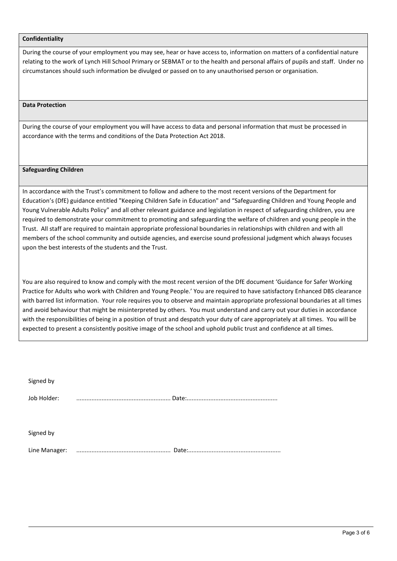#### **Confidentiality**

During the course of your employment you may see, hear or have access to, information on matters of a confidential nature relating to the work of Lynch Hill School Primary or SEBMAT or to the health and personal affairs of pupils and staff. Under no circumstances should such information be divulged or passed on to any unauthorised person or organisation.

#### **Data Protection**

During the course of your employment you will have access to data and personal information that must be processed in accordance with the terms and conditions of the Data Protection Act 2018.

#### **Safeguarding Children**

In accordance with the Trust's commitment to follow and adhere to the most recent versions of the Department for Education's (DfE) guidance entitled "Keeping Children Safe in Education" and "Safeguarding Children and Young People and Young Vulnerable Adults Policy" and all other relevant guidance and legislation in respect of safeguarding children, you are required to demonstrate your commitment to promoting and safeguarding the welfare of children and young people in the Trust. All staff are required to maintain appropriate professional boundaries in relationships with children and with all members of the school community and outside agencies, and exercise sound professional judgment which always focuses upon the best interests of the students and the Trust.

You are also required to know and comply with the most recent version of the DfE document 'Guidance for Safer Working Practice for Adults who work with Children and Young People.' You are required to have satisfactory Enhanced DBS clearance with barred list information. Your role requires you to observe and maintain appropriate professional boundaries at all times and avoid behaviour that might be misinterpreted by others. You must understand and carry out your duties in accordance with the responsibilities of being in a position of trust and despatch your duty of care appropriately at all times. You will be expected to present a consistently positive image of the school and uphold public trust and confidence at all times.

| Signed by     |  |
|---------------|--|
| Job Holder:   |  |
|               |  |
| Signed by     |  |
| Line Manager: |  |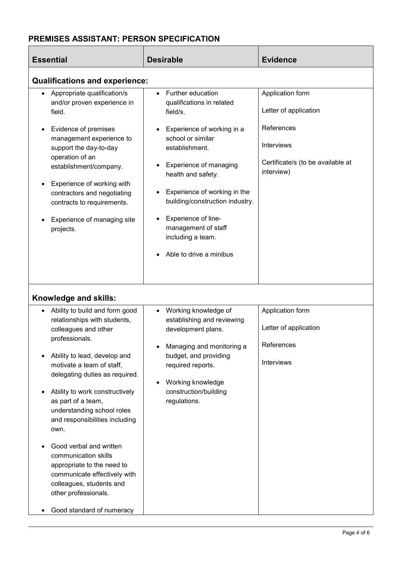# **PREMISES ASSISTANT: PERSON SPECIFICATION**

| <b>Essential</b>                                                                                                                                                                                                                                                                                                                                                                                                                                                                                                                                                                | <b>Desirable</b>                                                                                                                                                                                                                                                                                                                                 | <b>Evidence</b>                                                                                                          |  |  |  |
|---------------------------------------------------------------------------------------------------------------------------------------------------------------------------------------------------------------------------------------------------------------------------------------------------------------------------------------------------------------------------------------------------------------------------------------------------------------------------------------------------------------------------------------------------------------------------------|--------------------------------------------------------------------------------------------------------------------------------------------------------------------------------------------------------------------------------------------------------------------------------------------------------------------------------------------------|--------------------------------------------------------------------------------------------------------------------------|--|--|--|
| <b>Qualifications and experience:</b>                                                                                                                                                                                                                                                                                                                                                                                                                                                                                                                                           |                                                                                                                                                                                                                                                                                                                                                  |                                                                                                                          |  |  |  |
| Appropriate qualification/s<br>$\bullet$<br>and/or proven experience in<br>field.<br>Evidence of premises<br>management experience to<br>support the day-to-day<br>operation of an<br>establishment/company.<br>Experience of working with<br>contractors and negotiating<br>contracts to requirements.<br>Experience of managing site<br>projects.                                                                                                                                                                                                                             | Further education<br>qualifications in related<br>field/s.<br>Experience of working in a<br>school or similar<br>establishment.<br>Experience of managing<br>health and safety.<br>Experience of working in the<br>building/construction industry.<br>Experience of line-<br>management of staff<br>including a team.<br>Able to drive a minibus | Application form<br>Letter of application<br>References<br>Interviews<br>Certificate/s (to be available at<br>interview) |  |  |  |
| Knowledge and skills:<br>Ability to build and form good<br>$\bullet$<br>relationships with students,<br>colleagues and other<br>professionals.<br>Ability to lead, develop and<br>motivate a team of staff,<br>delegating duties as required.<br>Ability to work constructively<br>as part of a team,<br>understanding school roles<br>and responsibilities including<br>own.<br>Good verbal and written<br>communication skills<br>appropriate to the need to<br>communicate effectively with<br>colleagues, students and<br>other professionals.<br>Good standard of numeracy | Working knowledge of<br>$\bullet$<br>establishing and reviewing<br>development plans.<br>Managing and monitoring a<br>budget, and providing<br>required reports.<br>Working knowledge<br>construction/building<br>regulations.                                                                                                                   | Application form<br>Letter of application<br>References<br><b>Interviews</b>                                             |  |  |  |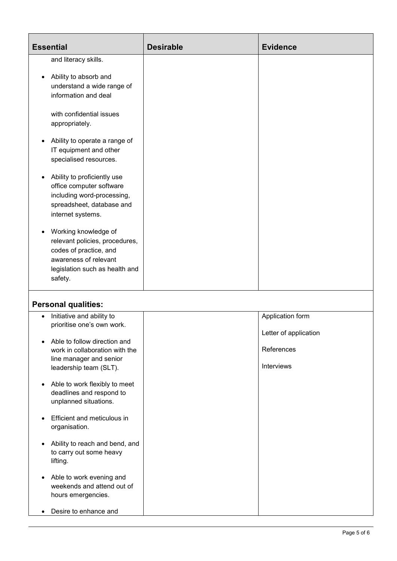| <b>Essential</b>                                                                                                                                                    | <b>Desirable</b> | <b>Evidence</b>                           |
|---------------------------------------------------------------------------------------------------------------------------------------------------------------------|------------------|-------------------------------------------|
| and literacy skills.                                                                                                                                                |                  |                                           |
| Ability to absorb and<br>$\bullet$<br>understand a wide range of<br>information and deal                                                                            |                  |                                           |
| with confidential issues<br>appropriately.                                                                                                                          |                  |                                           |
| Ability to operate a range of<br>٠<br>IT equipment and other<br>specialised resources.                                                                              |                  |                                           |
| Ability to proficiently use<br>$\bullet$<br>office computer software<br>including word-processing,<br>spreadsheet, database and<br>internet systems.                |                  |                                           |
| Working knowledge of<br>$\bullet$<br>relevant policies, procedures,<br>codes of practice, and<br>awareness of relevant<br>legislation such as health and<br>safety. |                  |                                           |
| <b>Personal qualities:</b>                                                                                                                                          |                  |                                           |
| Initiative and ability to<br>prioritise one's own work.<br>Able to follow direction and<br>$\bullet$                                                                |                  | Application form<br>Letter of application |
| work in collaboration with the<br>line manager and senior<br>leadership team (SLT).                                                                                 |                  | References<br>Interviews                  |
| Able to work flexibly to meet<br>$\bullet$<br>deadlines and respond to<br>unplanned situations.                                                                     |                  |                                           |
| Efficient and meticulous in<br>organisation.                                                                                                                        |                  |                                           |
| Ability to reach and bend, and<br>$\bullet$<br>to carry out some heavy<br>lifting.                                                                                  |                  |                                           |
| Able to work evening and<br>$\bullet$                                                                                                                               |                  |                                           |

hours emergencies.

weekends and attend out of